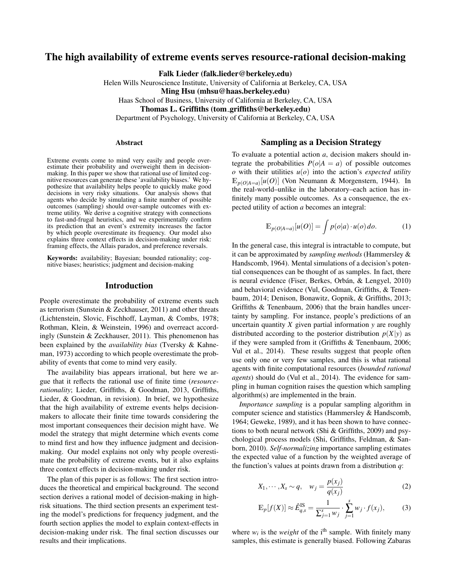# The high availability of extreme events serves resource-rational decision-making

Falk Lieder (falk.lieder@berkeley.edu)

Helen Wills Neuroscience Institute, University of California at Berkeley, CA, USA

Ming Hsu (mhsu@haas.berkeley.edu)

Haas School of Business, University of California at Berkeley, CA, USA

Thomas L. Griffiths (tom griffiths@berkeley.edu)

Department of Psychology, University of California at Berkeley, CA, USA

#### Abstract

Extreme events come to mind very easily and people overestimate their probability and overweight them in decisionmaking. In this paper we show that rational use of limited cognitive resources can generate these 'availability biases.' We hypothesize that availability helps people to quickly make good decisions in very risky situations. Our analysis shows that agents who decide by simulating a finite number of possible outcomes (sampling) should over-sample outcomes with extreme utility. We derive a cognitive strategy with connections to fast-and-frugal heuristics, and we experimentally confirm its prediction that an event's extremity increases the factor by which people overestimate its frequency. Our model also explains three context effects in decision-making under risk: framing effects, the Allais paradox, and preference reversals.

Keywords: availability; Bayesian; bounded rationality; cognitive biases; heuristics; judgment and decision-making

### Introduction

People overestimate the probability of extreme events such as terrorism (Sunstein & Zeckhauser, 2011) and other threats (Lichtenstein, Slovic, Fischhoff, Layman, & Combs, 1978; Rothman, Klein, & Weinstein, 1996) and overreact accordingly (Sunstein & Zeckhauser, 2011). This phenomenon has been explained by the *availability bias* (Tversky & Kahneman, 1973) according to which people overestimate the probability of events that come to mind very easily.

The availability bias appears irrational, but here we argue that it reflects the rational use of finite time (*resourcerationality*; Lieder, Griffiths, & Goodman, 2013, Griffiths, Lieder, & Goodman, in revision). In brief, we hypothesize that the high availability of extreme events helps decisionmakers to allocate their finite time towards considering the most important consequences their decision might have. We model the strategy that might determine which events come to mind first and how they influence judgment and decisionmaking. Our model explains not only why people overestimate the probability of extreme events, but it also explains three context effects in decision-making under risk.

The plan of this paper is as follows: The first section introduces the theoretical and empirical background. The second section derives a rational model of decision-making in highrisk situations. The third section presents an experiment testing the model's predictions for frequency judgment, and the fourth section applies the model to explain context-effects in decision-making under risk. The final section discusses our results and their implications.

## Sampling as a Decision Strategy

To evaluate a potential action *a*, decision makers should integrate the probabilities  $P(o|A = a)$  of possible outcomes  $\alpha$  with their utilities  $u(\alpha)$  into the action's *expected utility*  $\mathbb{E}_{p(O|A=a)}[u(O)]$  (Von Neumann & Morgenstern, 1944). In the real-world–unlike in the laboratory–each action has infinitely many possible outcomes. As a consequence, the expected utility of action *a* becomes an integral:

$$
\mathbb{E}_{p(O|A=a)}[u(O)] = \int p(o|a) \cdot u(o) \, do. \tag{1}
$$

In the general case, this integral is intractable to compute, but it can be approximated by *sampling methods* (Hammersley & Handscomb, 1964). Mental simulations of a decision's potential consequences can be thought of as samples. In fact, there is neural evidence (Fiser, Berkes, Orbán,  $\&$  Lengyel, 2010) and behavioral evidence (Vul, Goodman, Griffiths, & Tenenbaum, 2014; Denison, Bonawitz, Gopnik, & Griffiths, 2013; Griffiths & Tenenbaum, 2006) that the brain handles uncertainty by sampling. For instance, people's predictions of an uncertain quantity *X* given partial information *y* are roughly distributed according to the posterior distribution  $p(X|y)$  as if they were sampled from it (Griffiths & Tenenbaum, 2006; Vul et al., 2014). These results suggest that people often use only one or very few samples, and this is what rational agents with finite computational resources (*bounded rational agents*) should do (Vul et al., 2014). The evidence for sampling in human cognition raises the question which sampling algorithm(s) are implemented in the brain.

*Importance sampling* is a popular sampling algorithm in computer science and statistics (Hammersley & Handscomb, 1964; Geweke, 1989), and it has been shown to have connections to both neural network (Shi & Griffiths, 2009) and psychological process models (Shi, Griffiths, Feldman, & Sanborn, 2010). *Self-normalizing* importance sampling estimates the expected value of a function by the weighted average of the function's values at points drawn from a distribution *q*:

$$
X_1, \cdots, X_s \sim q, \quad w_j = \frac{p(x_j)}{q(x_j)}\tag{2}
$$

$$
\mathbb{E}_p[f(X)] \approx \hat{E}_{q,s}^{\text{IS}} = \frac{1}{\sum_{j=1}^s w_j} \cdot \sum_{j=1}^s w_j \cdot f(x_j),\tag{3}
$$

where  $w_i$  is the *weight* of the i<sup>th</sup> sample. With finitely many samples, this estimate is generally biased. Following Zabaras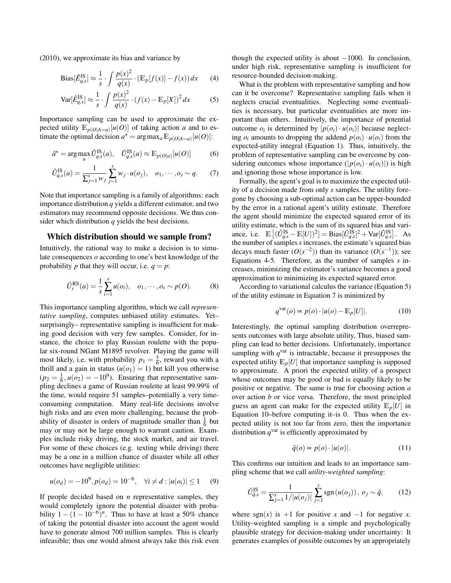(2010), we approximate its bias and variance by

Bias
$$
[\hat{E}_{q,s}^{IS}] \approx \frac{1}{s} \cdot \int \frac{p(x)^2}{q(x)} \cdot (\mathbb{E}_p[f(x)] - f(x)) dx
$$
 (4)

$$
\text{Var}[\hat{E}_{q,s}^{\text{IS}}] \approx \frac{1}{s} \cdot \int \frac{p(x)^2}{q(x)} \cdot (f(x) - \mathbb{E}_p[X])^2 dx \tag{5}
$$

Importance sampling can be used to approximate the expected utility  $\mathbb{E}_{p(Q|A=a)}[u(Q)]$  of taking action *a* and to estimate the optimal decision  $a^* = \arg \max_a \mathbb{E}_{p(O|A=a)}[u(O)]$ :

$$
\hat{a}^* = \arg \max_{a} \hat{U}_{q,s}^{\text{IS}}(a), \quad \hat{U}_{q,s}^{\text{IS}}(a) \approx \mathbb{E}_{p(O|a)}[u(O)] \tag{6}
$$

$$
\hat{U}_{q,s}^{IS}(a) = \frac{1}{\sum_{j=1}^{s} w_j} \sum_{j=1}^{s} w_j \cdot u(o_j), \quad o_1, \cdots, o_s \sim q. \tag{7}
$$

Note that importance sampling is a family of algorithms: each importance distribution *q* yields a different estimator, and two estimators may recommend opposite decisions. We thus consider which distribution *q* yields the best decisions.

#### Which distribution should we sample from?

Intuitively, the rational way to make a decision is to simulate consequences *o* according to one's best knowledge of the probability *p* that they will occur, i.e.  $q = p$ :

$$
\hat{U}_{s}^{\text{RS}}(a) = \frac{1}{s} \sum_{i=1}^{s} u(o_i), \quad o_1, \cdots, o_s \sim p(O). \tag{8}
$$

This importance sampling algorithm, which we call *representative sampling*, computes unbiased utility estimates. Yet– surprisingly– representative sampling is insufficient for making good decision with very few samples. Consider, for instance, the choice to play Russian roulette with the popular six-round NGant M1895 revolver. Playing the game will most likely, i.e. with probability  $p_1 = \frac{5}{6}$ , reward you with a thrill and a gain in status  $(u(o_1) = 1)$  but kill you otherwise  $(p_2 = \frac{1}{6}, u(o_2) = -10^9)$ . Ensuring that representative sampling declines a game of Russian roulette at least 99.99% of the time, would require 51 samples–potentially a very timeconsuming computation. Many real-life decisions involve high risks and are even more challenging, because the probability of disaster is orders of magnitude smaller than  $\frac{1}{6}$  but may or may not be large enough to warrant caution. Examples include risky driving, the stock market, and air travel. For some of these choices (e.g. texting while driving) there may be a one in a million chance of disaster while all other outcomes have negligible utilities:

$$
u(o_d) = -10^9, p(o_d) = 10^{-6}, \quad \forall i \neq d : |u(o_i)| \leq 1 \tag{9}
$$

If people decided based on *n* representative samples, they would completely ignore the potential disaster with probability  $1 - (1 - 10^{-6})^n$ . Thus to have at least a 50% chance of taking the potential disaster into account the agent would have to generate almost 700 million samples. This is clearly infeasible; thus one would almost always take this risk even though the expected utility is about  $-1000$ . In conclusion, under high risk, representative sampling is insufficient for resource-bounded decision-making.

What is the problem with representative sampling and how can it be overcome? Representative sampling fails when it neglects crucial eventualities. Neglecting some eventualities is necessary, but particular eventualities are more important than others. Intuitively, the importance of potential outcome  $o_i$  is determined by  $|p(o_i) \cdot u(o_i)|$  because neglecting  $o_i$  amounts to dropping the addend  $p(o_i) \cdot u(o_i)$  from the expected-utility integral (Equation 1). Thus, intuitively, the problem of representative sampling can be overcome by considering outcomes whose importance  $(|p(o_i) \cdot u(o_i)|)$  is high and ignoring those whose importance is low.

Formally, the agent's goal is to maximize the expected utility of a decision made from only *s* samples. The utility foregone by choosing a sub-optimal action can be upper-bounded by the error in a rational agent's utility estimate. Therefore the agent should minimize the expected squared error of its utility estimate, which is the sum of its squared bias and variance, i.e.  $\mathbb{E}[(\hat{U}_{q,s}^{IS} - \mathbb{E}[U])^2] = \text{Bias}[\hat{U}_{q,s}^{IS}]^2 + \text{Var}[\hat{U}_{q,s}^{IS}].$  As the number of samples *s* increases, the estimate's squared bias decays much faster  $(O(s^{-2}))$  than its variance  $(O(s^{-1}))$ ; see Equations 4-5. Therefore, as the number of samples *s* increases, minimizing the estimator's variance becomes a good approximation to minimizing its expected squared error.

According to variational calculus the variance (Equation 5) of the utility estimate in Equation 7 is minimized by

$$
q^{\text{var}}(o) \propto p(o) \cdot |u(o) - \mathbb{E}_p[U]|.
$$
 (10)

Interestingly, the optimal sampling distribution overrepresents outcomes with large absolute utility, Thus, biased sampling can lead to better decisions. Unfortunately, importance sampling with  $q<sup>var</sup>$  is intractable, because it presupposes the expected utility  $\mathbb{E}_p[U]$  that importance sampling is supposed to approximate. A priori the expected utility of a prospect whose outcomes may be good or bad is equally likely to be positive or negative. The same is true for choosing action *a* over action *b* or vice versa. Therefore, the most principled guess an agent can make for the expected utility  $\mathbb{E}_p[U]$  in Equation 10–before computing it–is 0. Thus when the expected utility is not too far from zero, then the importance distribution  $q<sup>var</sup>$  is efficiently approximated by

$$
\tilde{q}(o) \propto p(o) \cdot |u(o)|. \tag{11}
$$

This confirms our intuition and leads to an importance sampling scheme that we call *utility-weighted sampling*:

$$
\hat{U}_{\tilde{q},s}^{IS} = \frac{1}{\sum_{j=1}^{s} 1/|u(o_j)|} \sum_{j=1}^{s} \text{sgn}(u(o_j)), o_j \sim \tilde{q}, \quad (12)
$$

where sgn( $x$ ) is +1 for positive  $x$  and  $-1$  for negative  $x$ . Utility-weighted sampling is a simple and psychologically plausible strategy for decision-making under uncertainty: It generates examples of possible outcomes by an appropriately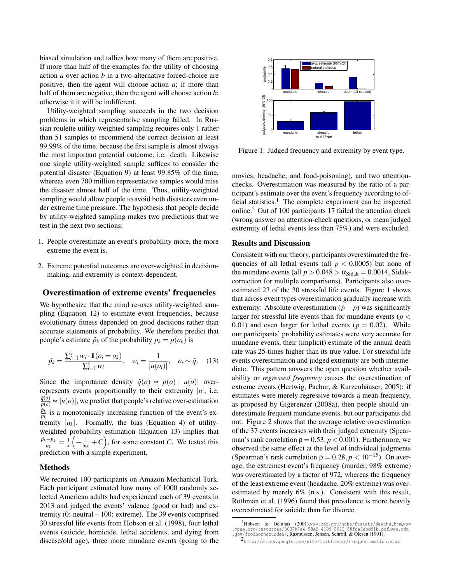biased simulation and tallies how many of them are positive. If more than half of the examples for the utility of choosing action *a* over action *b* in a two-alternative forced-choice are positive, then the agent will choose action *a*; if more than half of them are negative, then the agent will choose action *b*; otherwise it it will be indifferent.

Utility-weighted sampling succeeds in the two decision problems in which representative sampling failed. In Russian roulette utility-weighted sampling requires only 1 rather than 51 samples to recommend the correct decision at least 99.99% of the time, because the first sample is almost always the most important potential outcome, i.e. death. Likewise one single utility-weighted sample suffices to consider the potential disaster (Equation 9) at least 99.85% of the time, whereas even 700 million representative samples would miss the disaster almost half of the time. Thus, utility-weighted sampling would allow people to avoid both disasters even under extreme time pressure. The hypothesis that people decide by utility-weighted sampling makes two predictions that we test in the next two sections:

- 1. People overestimate an event's probability more, the more extreme the event is.
- 2. Extreme potential outcomes are over-weighted in decisionmaking, and extremity is context-dependent.

## Overestimation of extreme events' frequencies

We hypothesize that the mind re-uses utility-weighted sampling (Equation 12) to estimate event frequencies, because evolutionary fitness depended on good decisions rather than accurate statements of probability. We therefore predict that people's estimate  $\hat{p}_k$  of the probability  $p_k = p(o_k)$  is

$$
\hat{p_k} = \frac{\sum_{i=1}^s w_i \cdot \mathbb{1}(o_i = o_k)}{\sum_{i=1}^s w_i}, \quad w_i = \frac{1}{|u(o_i)|}, \quad o_i \sim \tilde{q}.
$$
 (13)

Since the importance density  $\tilde{q}(o) \propto p(o) \cdot |u(o)|$  overrepresents events proportionally to their extremity  $|u|$ , i.e.  $\tilde{q}(o)$  $\frac{q(0)}{p(0)} \propto |u(o)|$ , we predict that people's relative over-estimation  $\hat{p}_k$  $\frac{p_k}{p_k}$  is a monotonically increasing function of the event's extremity  $|u_k|$ . Formally, the bias (Equation 4) of utilityweighted probability estimation (Equation 13) implies that *p*ˆ*k*−*p<sup>k</sup>*  $\frac{-p_k}{p_k} = \frac{1}{s} \left( -\frac{1}{|u_i|} + C \right)$ , for some constant *C*. We tested this prediction with a simple experiment.

### Methods

We recruited 100 participants on Amazon Mechanical Turk. Each participant estimated how many of 1000 randomly selected American adults had experienced each of 39 events in 2013 and judged the events' valence (good or bad) and extremity (0: neutral – 100: extreme). The 39 events comprised 30 stressful life events from Hobson et al. (1998), four lethal events (suicide, homicide, lethal accidents, and dying from disease/old age), three more mundane events (going to the



Figure 1: Judged frequency and extremity by event type.

movies, headache, and food-poisoning), and two attentionchecks. Overestimation was measured by the ratio of a participant's estimate over the event's frequency according to official statistics.<sup>1</sup> The complete experiment can be inspected online.<sup>2</sup> Out of 100 participants 17 failed the attention check (wrong answer on attention-check questions, or mean judged extremity of lethal events less than 75%) and were excluded.

## Results and Discussion

Consistent with our theory, participants overestimated the frequencies of all lethal events (all  $p < 0.0005$ ) but none of the mundane events (all  $p > 0.048 > \alpha_{\text{Sidak}} = 0.0014$ , Sidakcorrection for multiple comparisons). Participants also overestimated 23 of the 30 stressful life events. Figure 1 shows that across event types overestimation gradually increase with extremity: Absolute overestimation  $(\hat{p} - p)$  was significantly larger for stressful life events than for mundane events (*p* < 0.01) and even larger for lethal events  $(p = 0.02)$ . While our participants' probability estimates were very accurate for mundane events, their (implicit) estimate of the annual death rate was 25-times higher than its true value. For stressful life events overestimation and judged extremity are both intermediate. This pattern answers the open question whether availability or *regressed frequency* causes the overestimation of extreme events (Hertwig, Pachur, & Kurzenhäuser, 2005): if estimates were merely regressive towards a mean frequency, as proposed by Gigerenzer (2008a), then people should underestimate frequent mundane events, but our participants did not. Figure 2 shows that the average relative overestimation of the 37 events increases with their judged extremity (Spearman's rank correlation  $\rho = 0.53$ ,  $p < 0.001$ ). Furthermore, we observed the same effect at the level of individual judgments (Spearman's rank correlation  $\rho = 0.28, p < 10^{-15}$ ). On average, the extremest event's frequency (murder, 98% extreme) was overestimated by a factor of 972, whereas the frequency of the least extreme event (headache, 20% extreme) was overestimated by merely 6% (n.s.). Consistent with this result, Rothman et al. (1996) found that prevalence is more heavily overestimated for suicide than for divorce.

<sup>1</sup>Hobson & Delunas (2001),www.cdc.gov/nchs/fastats/deaths.htm,www .mpaa.org/resources/3037b7a4-58a2-4109-8012-58fca3abdf1b.pdf,www.cdc .gov/foodborneburden/, Rasmussen, Jensen, Schroll, & Olesen (1991).

<sup>2</sup> http://sites.google.com/site/falklieder/freq estimation.html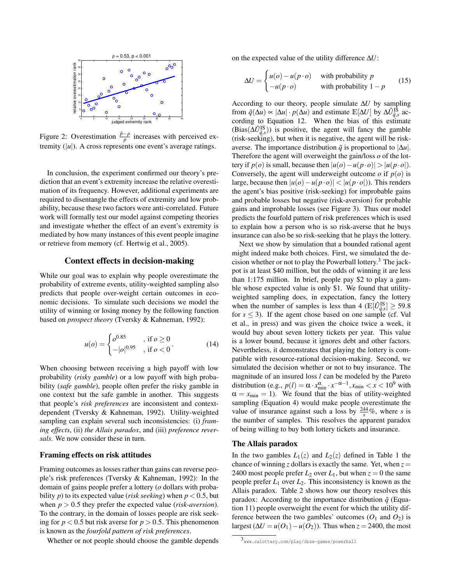

Figure 2: Overestimation  $\frac{\hat{p} - p}{p}$  increases with perceived extremity  $(|u|)$ . A cross represents one event's average ratings.

In conclusion, the experiment confirmed our theory's prediction that an event's extremity increase the relative overestimation of its frequency. However, additional experiments are required to disentangle the effects of extremity and low probability, because these two factors were anti-correlated. Future work will formally test our model against competing theories and investigate whether the effect of an event's extremity is mediated by how many instances of this event people imagine or retrieve from memory (cf. Hertwig et al., 2005).

# Context effects in decision-making

While our goal was to explain why people overestimate the probability of extreme events, utility-weighted sampling also predicts that people over-weight certain outcomes in economic decisions. To simulate such decisions we model the utility of winning or losing money by the following function based on *prospect theory* (Tversky & Kahneman, 1992):

$$
u(o) = \begin{cases} o^{0.85} & , \text{ if } o \ge 0 \\ -|o|^{0.95} & , \text{ if } o < 0 \end{cases}
$$
 (14)

When choosing between receiving a high payoff with low probability (*risky gamble*) or a low payoff with high probability (*safe gamble*), people often prefer the risky gamble in one context but the safe gamble in another. This suggests that people's *risk preferences* are inconsistent and contextdependent (Tversky & Kahneman, 1992). Utility-weighted sampling can explain several such inconsistencies: (i) *framing effects*, (ii) *the Allais paradox*, and (iii) *preference reversals*. We now consider these in turn.

## Framing effects on risk attitudes

Framing outcomes as losses rather than gains can reverse people's risk preferences (Tversky & Kahneman, 1992): In the domain of gains people prefer a lottery (*o* dollars with probability *p*) to its expected value (*risk seeking*) when  $p < 0.5$ , but when *p* > 0.5 they prefer the expected value (*risk-aversion*). To the contrary, in the domain of losses people are risk seeking for  $p < 0.5$  but risk averse for  $p > 0.5$ . This phenomenon is known as the *fourfold pattern of risk preferences*.

Whether or not people should choose the gamble depends

on the expected value of the utility difference ∆*U*:

$$
\Delta U = \begin{cases} u(o) - u(p \cdot o) & \text{with probability } p \\ -u(p \cdot o) & \text{with probability } 1 - p \end{cases}
$$
 (15)

According to our theory, people simulate ∆*U* by sampling from  $\tilde{q}(\Delta u) \propto |\Delta u| \cdot p(\Delta u)$  and estimate  $\mathbb{E}[\Delta U]$  by  $\Delta \hat{U}_{\tilde{q},s}^{I\bar{S}}$  according to Equation 12. When the bias of this estimate  $(Bias(\Delta \hat{U}_{\tilde{q},s}^{IS}))$  is positive, the agent will fancy the gamble (risk-seeking), but when it is negative, the agent will be riskaverse. The importance distribution  $\tilde{q}$  is proportional to  $|\Delta u|$ . Therefore the agent will overweight the gain/loss *o* of the lottery if  $p(o)$  is small, because then  $|u(o) - u(p \cdot o)| > |u(p \cdot o)|$ . Conversely, the agent will underweight outcome  $o$  if  $p(o)$  is large, because then |*u*(*o*)−*u*(*p*·*o*)| < |*u*(*p*·*o*|)). This renders the agent's bias positive (risk-seeking) for improbable gains and probable losses but negative (risk-aversion) for probable gains and improbable losses (see Figure 3). Thus our model predicts the fourfold pattern of risk preferences which is used to explain how a person who is so risk-averse that he buys insurance can also be so risk-seeking that he plays the lottery.

Next we show by simulation that a bounded rational agent might indeed make both choices. First, we simulated the decision whether or not to play the Powerball lottery.<sup>3</sup> The jackpot is at least \$40 million, but the odds of winning it are less than 1:175 million. In brief, people pay \$2 to play a gamble whose expected value is only \$1. We found that utilityweighted sampling does, in expectation, fancy the lottery when the number of samples is less than 4 ( $\mathbb{E}[\hat{U}_{\tilde{q},s}^{IS}] \ge 59.8$ ) for  $s \leq 3$ ). If the agent chose based on one sample (cf. Vul et al., in press) and was given the choice twice a week, it would buy about seven lottery tickets per year. This value is a lower bound, because it ignores debt and other factors. Nevertheless, it demonstrates that playing the lottery is compatible with resource-rational decision-making. Second, we simulated the decision whether or not to buy insurance. The magnitude of an insured loss *l* can be modeled by the Pareto distribution (e.g.,  $p(l) = \alpha \cdot x_{\min}^{\alpha} \cdot x^{-\alpha-1}, x_{\min} < x < 10^9$  with  $\alpha = x_{\text{min}} = 1$ ). We found that the bias of utility-weighted sampling (Equation 4) would make people overestimate the value of insurance against such a loss by  $\frac{244}{s}\%$ , where *s* is the number of samples. This resolves the apparent paradox of being willing to buy both lottery tickets and insurance.

## The Allais paradox

In the two gambles  $L_1(z)$  and  $L_2(z)$  defined in Table 1 the chance of winning *z* dollars is exactly the same. Yet, when  $z =$ 2400 most people prefer  $L_2$  over  $L_1$ , but when  $z = 0$  the same people prefer  $L_1$  over  $L_2$ . This inconsistency is known as the Allais paradox. Table 2 shows how our theory resolves this paradox: According to the importance distribution  $\tilde{q}$  (Equation 11) people overweight the event for which the utility difference between the two gambles' outcomes  $(O_1 \text{ and } O_2)$  is largest  $(\Delta U = u(O_1) - u(O_2))$ . Thus when  $z = 2400$ , the most

<sup>3</sup> www.calottery.com/play/draw-games/powerball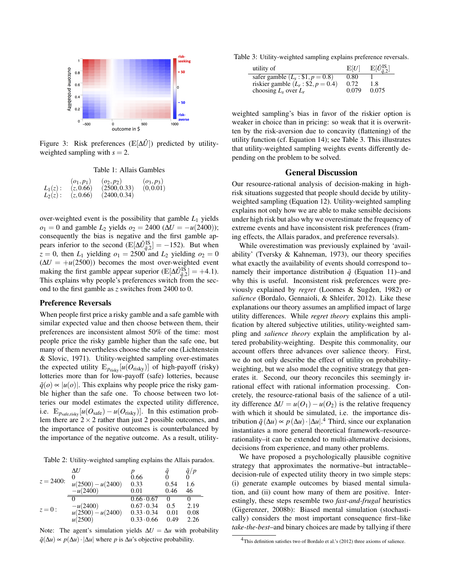

Figure 3: Risk preferences ( $\mathbb{E}[\Delta \hat{U}]$ ) predicted by utilityweighted sampling with  $s = 2$ .

Table 1: Allais Gambles

|            | $(o_1, p_1)$ | $(o_2, p_2)$ | $(o_3, p_3)$ |
|------------|--------------|--------------|--------------|
| $L_1(z)$ : | (z, 0.66)    | (2500, 0.33) | (0, 0.01)    |
| $L_2(z)$ : | (z, 0.66)    | (2400, 0.34) |              |

over-weighted event is the possibility that gamble *L*<sup>1</sup> yields  $o_1 = 0$  and gamble  $L_2$  yields  $o_2 = 2400 \ (\Delta U = -u(2400));$ consequently the bias is negative and the first gamble appears inferior to the second  $(\mathbb{E}[\Delta \hat{U}_{\tilde{q},2}^{IS}] = -152)$ . But when  $z = 0$ , then  $L_1$  yielding  $o_1 = 2500$  and  $L_2$  yielding  $o_2 = 0$  $(\Delta U = +u(2500))$  becomes the most over-weighted event making the first gamble appear superior ( $\mathbb{E}[\Delta \hat{U}_{\tilde{q},2}^{I\bar{S}}] = +4.1$ ). This explains why people's preferences switch from the second to the first gamble as *z* switches from 2400 to 0.

## Preference Reversals

When people first price a risky gamble and a safe gamble with similar expected value and then choose between them, their preferences are inconsistent almost 50% of the time: most people price the risky gamble higher than the safe one, but many of them nevertheless choose the safer one (Lichtenstein & Slovic, 1971). Utility-weighted sampling over-estimates the expected utility  $\mathbb{E}_{p_{\text{risky}}}[u(O_{\text{risky}})]$  of high-payoff (risky) lotteries more than for low-payoff (safe) lotteries, because  $q(\rho) \propto |u(\rho)|$ . This explains why people price the risky gamble higher than the safe one. To choose between two lotteries our model estimates the expected utility difference, i.e.  $\mathbb{E}_{p_{\text{safe, risky}}}[u(O_{\text{safe}}) - u(O_{\text{risky}})].$  In this estimation problem there are  $2 \times 2$  rather than just 2 possible outcomes, and the importance of positive outcomes is counterbalanced by the importance of the negative outcome. As a result, utility-

Table 2: Utility-weighted sampling explains the Allais paradox.

| $z = 2400$ : | $\Delta U$<br>$\theta$ | 0.66              |                   | $\frac{\tilde{q}/p}{0}$ |
|--------------|------------------------|-------------------|-------------------|-------------------------|
|              | $u(2500) - u(2400)$    | 0.33              | 0.54              | 1.6                     |
|              | $-u(2400)$             | 0.01              | 0.46              | 46                      |
| $z=0$ :      |                        | $0.66 \cdot 0.67$ | $\mathbf{\Omega}$ |                         |
|              | $-u(2400)$             | $0.67 \cdot 0.34$ | 0.5               | 2.19                    |
|              | $u(2500) - u(2400)$    | $0.33 \cdot 0.34$ | 0.01              | 0.08                    |
|              | u(2500)                | $0.33 \cdot 0.66$ | 0.49              | 2.26                    |

Note: The agent's simulation yields  $\Delta U = \Delta u$  with probability  $q(\Delta u) \propto p(\Delta u) \cdot |\Delta u|$  where *p* is  $\Delta u$ 's objective probability.

Table 3: Utility-weighted sampling explains preference reversals.

| utility of                                                                                             | E[U]                  | $\mathbb{E}[\hat{U}_{\tilde{a}}^{\text{IS}}]$ |
|--------------------------------------------------------------------------------------------------------|-----------------------|-----------------------------------------------|
| safer gamble $(L_s: $1, p = 0.8)$<br>riskier gamble $(L_r : $2, p = 0.4)$<br>choosing $L_s$ over $L_r$ | 0.80<br>0.72<br>0.079 | 1.8<br>0.075                                  |

weighted sampling's bias in favor of the riskier option is weaker in choice than in pricing: so weak that it is overwritten by the risk-aversion due to concavity (flattening) of the utility function (cf. Equation 14); see Table 3. This illustrates that utility-weighted sampling weights events differently depending on the problem to be solved.

## General Discussion

Our resource-rational analysis of decision-making in highrisk situations suggested that people should decide by utilityweighted sampling (Equation 12). Utility-weighted sampling explains not only how we are able to make sensible decisions under high risk but also why we overestimate the frequency of extreme events and have inconsistent risk preferences (framing effects, the Allais paradox, and preference reversals).

While overestimation was previously explained by 'availability' (Tversky & Kahneman, 1973), our theory specifies what exactly the availability of events should correspond to– namely their importance distribution  $\tilde{q}$  (Equation 11)–and why this is useful. Inconsistent risk preferences were previously explained by *regret* (Loomes & Sugden, 1982) or *salience* (Bordalo, Gennaioli, & Shleifer, 2012). Like these explanations our theory assumes an amplified impact of large utility differences. While *regret theory* explains this amplification by altered subjective utilities, utility-weighted sampling and *salience theory* explain the amplification by altered probability-weighting. Despite this commonality, our account offers three advances over salience theory. First, we do not only describe the effect of utility on probabilityweighting, but we also model the cognitive strategy that generates it. Second, our theory reconciles this seemingly irrational effect with rational information processing. Concretely, the resource-rational basis of the salience of a utility difference  $\Delta U = u(O_1) - u(O_2)$  is the relative frequency with which it should be simulated, i.e. the importance distribution  $\tilde{q}(\Delta u) \propto p(\Delta u) \cdot |\Delta u|$ .<sup>4</sup> Third, since our explanation instantiates a more general theoretical framework–resourcerationality–it can be extended to multi-alternative decisions, decisions from experience, and many other problems.

We have proposed a psychologically plausible cognitive strategy that approximates the normative–but intractable– decision-rule of expected utility theory in two simple steps: (i) generate example outcomes by biased mental simulation, and (ii) count how many of them are positive. Interestingly, these steps resemble two *fast-and-frugal* heuristics (Gigerenzer, 2008b): Biased mental simulation (stochastically) considers the most important consequence first–like *take-the-best*–and binary choices are made by tallying if there

<sup>&</sup>lt;sup>4</sup>This definition satisfies two of Bordalo et al.'s (2012) three axioms of salience.